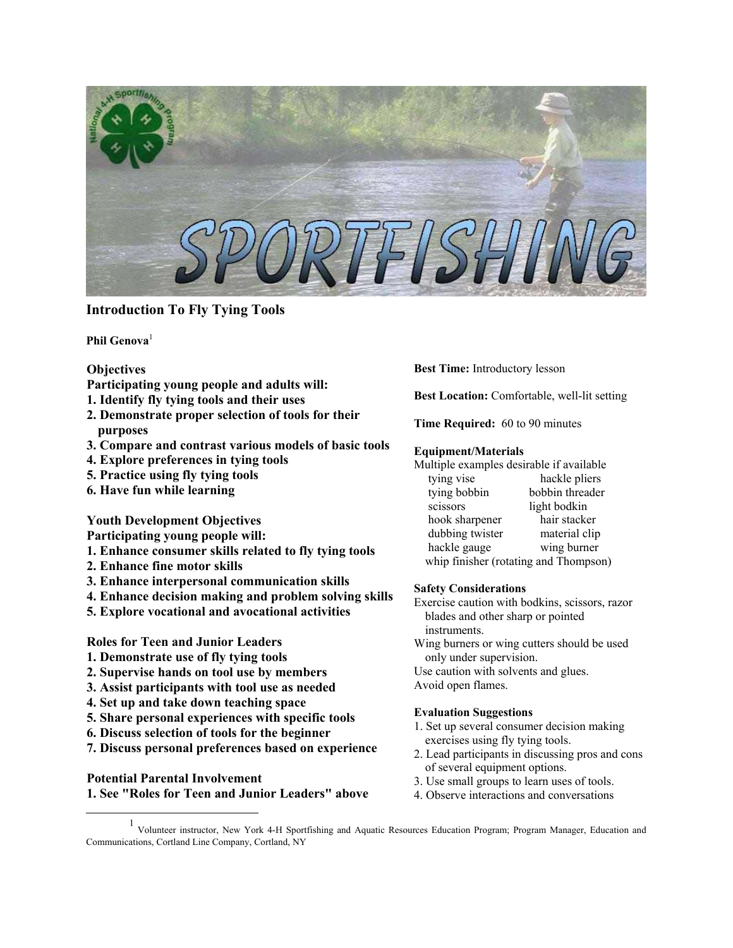

# **Introduction To Fly Tying Tools**

**Phil Genova**[1](#page-0-0)

#### **Objectives**

- **Participating young people and adults will:**
- **1. Identify fly tying tools and their uses**
- **2. Demonstrate proper selection of tools for their purposes**
- **3. Compare and contrast various models of basic tools**
- **4. Explore preferences in tying tools**
- **5. Practice using fly tying tools**
- **6. Have fun while learning**

## **Youth Development Objectives**

**Participating young people will:** 

- **1. Enhance consumer skills related to fly tying tools**
- **2. Enhance fine motor skills**
- **3. Enhance interpersonal communication skills**
- **4. Enhance decision making and problem solving skills**
- **5. Explore vocational and avocational activities**

## **Roles for Teen and Junior Leaders**

- **1. Demonstrate use of fly tying tools**
- **2. Supervise hands on tool use by members**
- **3. Assist participants with tool use as needed**
- **4. Set up and take down teaching space**
- **5. Share personal experiences with specific tools**
- **6. Discuss selection of tools for the beginner**
- **7. Discuss personal preferences based on experience**

#### **Potential Parental Involvement**

**1. See "Roles for Teen and Junior Leaders" above** 

**Best Time:** Introductory lesson

**Best Location:** Comfortable, well-lit setting

**Time Required:** 60 to 90 minutes

#### **Equipment/Materials**

Multiple examples desirable if available tying vise hackle pliers tying bobbin bobbin threader scissors light bodkin hook sharpener hair stacker

dubbing twister material clip hackle gauge wing burner whip finisher (rotating and Thompson)

# **Safety Considerations**

Exercise caution with bodkins, scissors, razor blades and other sharp or pointed instruments.

Wing burners or wing cutters should be used only under supervision.

Use caution with solvents and glues.

Avoid open flames.

### **Evaluation Suggestions**

- 1. Set up several consumer decision making exercises using fly tying tools.
- 2. Lead participants in discussing pros and cons of several equipment options.
- 3. Use small groups to learn uses of tools.
- 4. Observe interactions and conversations

<span id="page-0-0"></span><u>1</u> Volunteer instructor, New York 4-H Sportfishing and Aquatic Resources Education Program; Program Manager, Education and Communications, Cortland Line Company, Cortland, NY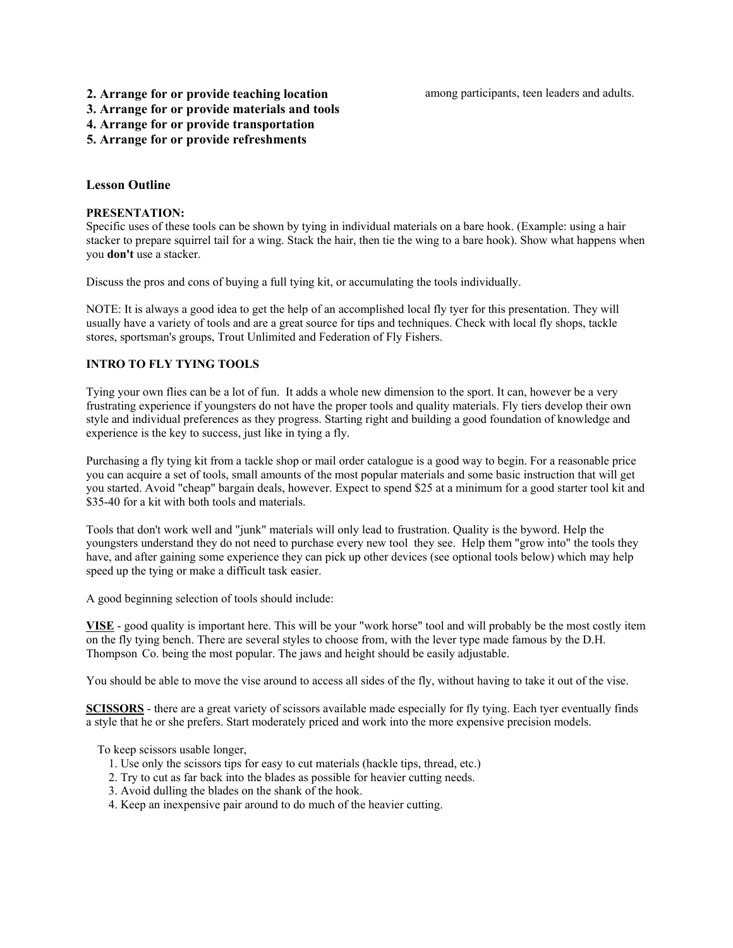among participants, teen leaders and adults.

# **2. Arrange for or provide teaching location**

**3. Arrange for or provide materials and tools** 

**4. Arrange for or provide transportation** 

**5. Arrange for or provide refreshments**

# **Lesson Outline**

#### **PRESENTATION:**

Specific uses of these tools can be shown by tying in individual materials on a bare hook. (Example: using a hair stacker to prepare squirrel tail for a wing. Stack the hair, then tie the wing to a bare hook). Show what happens when you **don't** use a stacker.

Discuss the pros and cons of buying a full tying kit, or accumulating the tools individually.

NOTE: It is always a good idea to get the help of an accomplished local fly tyer for this presentation. They will usually have a variety of tools and are a great source for tips and techniques. Check with local fly shops, tackle stores, sportsman's groups, Trout Unlimited and Federation of Fly Fishers.

#### **INTRO TO FLY TYING TOOLS**

Tying your own flies can be a lot of fun. It adds a whole new dimension to the sport. It can, however be a very frustrating experience if youngsters do not have the proper tools and quality materials. Fly tiers develop their own style and individual preferences as they progress. Starting right and building a good foundation of knowledge and experience is the key to success, just like in tying a fly.

Purchasing a fly tying kit from a tackle shop or mail order catalogue is a good way to begin. For a reasonable price you can acquire a set of tools, small amounts of the most popular materials and some basic instruction that will get you started. Avoid "cheap" bargain deals, however. Expect to spend \$25 at a minimum for a good starter tool kit and \$35-40 for a kit with both tools and materials.

Tools that don't work well and "junk" materials will only lead to frustration. Quality is the byword. Help the youngsters understand they do not need to purchase every new tool they see. Help them "grow into" the tools they have, and after gaining some experience they can pick up other devices (see optional tools below) which may help speed up the tying or make a difficult task easier.

A good beginning selection of tools should include:

**VISE** - good quality is important here. This will be your "work horse" tool and will probably be the most costly item on the fly tying bench. There are several styles to choose from, with the lever type made famous by the D.H. Thompson Co. being the most popular. The jaws and height should be easily adjustable.

You should be able to move the vise around to access all sides of the fly, without having to take it out of the vise.

**SCISSORS** - there are a great variety of scissors available made especially for fly tying. Each tyer eventually finds a style that he or she prefers. Start moderately priced and work into the more expensive precision models.

To keep scissors usable longer,

- 1. Use only the scissors tips for easy to cut materials (hackle tips, thread, etc.)
- 2. Try to cut as far back into the blades as possible for heavier cutting needs.
- 3. Avoid dulling the blades on the shank of the hook.
- 4. Keep an inexpensive pair around to do much of the heavier cutting.